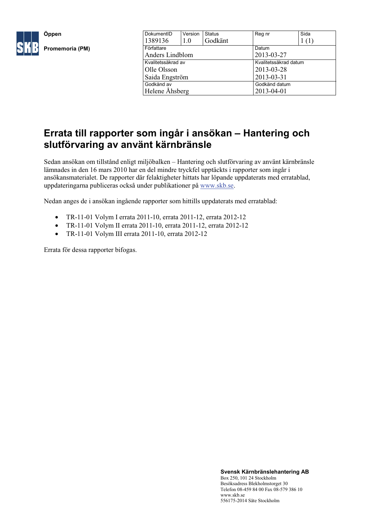

| DokumentID         | Version | <b>Status</b>         |            | Reg nr | Sida |
|--------------------|---------|-----------------------|------------|--------|------|
| 1389136            | 1.0     | Godkänt               |            |        | (1)  |
| Författare         |         |                       |            | Datum  |      |
| Anders Lindblom    |         |                       | 2013-03-27 |        |      |
| Kvalitetssäkrad av |         | Kvalitetssäkrad datum |            |        |      |
| Olle Olsson        |         | 2013-03-28            |            |        |      |
| Saida Engström     |         |                       | 2013-03-31 |        |      |
| Godkänd av         |         | Godkänd datum         |            |        |      |
| Helene Åhsberg     |         | 2013-04-01            |            |        |      |

# **Errata till rapporter som ingår i ansökan – Hantering och slutförvaring av använt kärnbränsle**

Sedan ansökan om tillstånd enligt miljöbalken – Hantering och slutförvaring av använt kärnbränsle lämnades in den 16 mars 2010 har en del mindre tryckfel upptäckts i rapporter som ingår i ansökansmaterialet. De rapporter där felaktigheter hittats har löpande uppdaterats med erratablad, uppdateringarna publiceras också under publikationer på [www.skb.se.](http://www.skb.se/)

Nedan anges de i ansökan ingående rapporter som hittills uppdaterats med erratablad:

- TR-11-01 Volym I errata 2011-10, errata 2011-12, errata 2012-12
- TR-11-01 Volym II errata 2011-10, errata 2011-12, errata 2012-12
- TR-11-01 Volym III errata 2011-10, errata 2012-12

Errata för dessa rapporter bifogas.

**Svensk Kärnbränslehantering AB** Box 250, 101 24 Stockholm Besöksadress Blekholmstorget 30 Telefon 08-459 84 00 Fax 08-579 386 10 www.skb.se 556175-2014 Säte Stockholm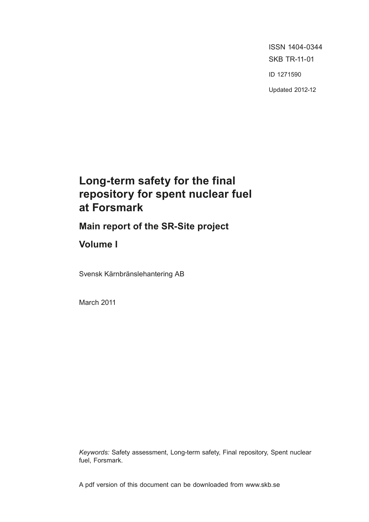**Tänd ett** lager: **P, R eller** Triangler ISSN 1404-0344 SKB TR-11-01 ID 1271590 Updated 2012-12

# **Long-term safety for the final repository for spent nuclear fuel at Forsmark**

**Main report of the SR-Site project**

**Volume I**

Svensk Kärnbränslehantering AB

March 2011

*Keywords:* Safety assessment, Long-term safety, Final repository, Spent nuclear fuel, Forsmark.

A pdf version of this document can be downloaded from www.skb.se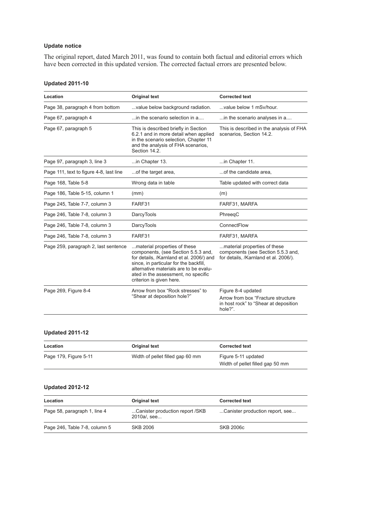#### **Update notice**

The original report, dated March 2011, was found to contain both factual and editorial errors which have been corrected in this updated version. The corrected factual errors are presented below.

#### **Updated 2011-10**

| Location                                | <b>Original text</b>                                                                                                                                                                                                                                                   | <b>Corrected text</b>                                                                                        |
|-----------------------------------------|------------------------------------------------------------------------------------------------------------------------------------------------------------------------------------------------------------------------------------------------------------------------|--------------------------------------------------------------------------------------------------------------|
| Page 38, paragraph 4 from bottom        | value below background radiation.                                                                                                                                                                                                                                      | value below 1 mSv/hour.                                                                                      |
| Page 67, paragraph 4                    | in the scenario selection in a                                                                                                                                                                                                                                         | in the scenario analyses in a                                                                                |
| Page 67, paragraph 5                    | This is described briefly in Section<br>6.2.1 and in more detail when applied<br>in the scenario selection, Chapter 11<br>and the analysis of FHA scenarios.<br>Section 14.2.                                                                                          | This is described in the analysis of FHA<br>scenarios, Section 14.2.                                         |
| Page 97, paragraph 3, line 3            | in Chapter 13.                                                                                                                                                                                                                                                         | in Chapter 11.                                                                                               |
| Page 111, text to figure 4-8, last line | of the target area,                                                                                                                                                                                                                                                    | of the candidate area.                                                                                       |
| Page 168, Table 5-8                     | Wrong data in table                                                                                                                                                                                                                                                    | Table updated with correct data                                                                              |
| Page 186, Table 5-15, column 1          | (mm)                                                                                                                                                                                                                                                                   | (m)                                                                                                          |
| Page 245, Table 7-7, column 3           | FARF31                                                                                                                                                                                                                                                                 | FARF31, MARFA                                                                                                |
| Page 246, Table 7-8, column 3           | <b>DarcyTools</b>                                                                                                                                                                                                                                                      | PhreegC                                                                                                      |
| Page 246, Table 7-8, column 3           | <b>DarcyTools</b>                                                                                                                                                                                                                                                      | ConnectFlow                                                                                                  |
| Page 246, Table 7-8, column 3           | FARF31                                                                                                                                                                                                                                                                 | FARF31, MARFA                                                                                                |
| Page 259, paragraph 2, last sentence    | material properties of these<br>components, (see Section 5.5.3 and,<br>for details, /Karnland et al. 2006/) and<br>since, in particular for the backfill,<br>alternative materials are to be evalu-<br>ated in the assessment, no specific<br>criterion is given here. | material properties of these<br>components (see Section 5.5.3 and,<br>for details, /Karnland et al. 2006/).  |
| Page 269, Figure 8-4                    | Arrow from box "Rock stresses" to<br>"Shear at deposition hole?"                                                                                                                                                                                                       | Figure 8-4 updated<br>Arrow from box "Fracture structure<br>in host rock" to "Shear at deposition<br>hole?". |

### **Updated 2011-12**

| Location              | Original text                    | <b>Corrected text</b>                                   |
|-----------------------|----------------------------------|---------------------------------------------------------|
| Page 179, Figure 5-11 | Width of pellet filled gap 60 mm | Figure 5-11 updated<br>Width of pellet filled gap 50 mm |

#### **Updated 2012-12**

| Location                      | Original text                                  | <b>Corrected text</b>           |
|-------------------------------|------------------------------------------------|---------------------------------|
| Page 58, paragraph 1, line 4  | Canister production report /SKB<br>2010a/. see | Canister production report, see |
| Page 246, Table 7-8, column 5 | <b>SKB 2006</b>                                | SKB 2006c                       |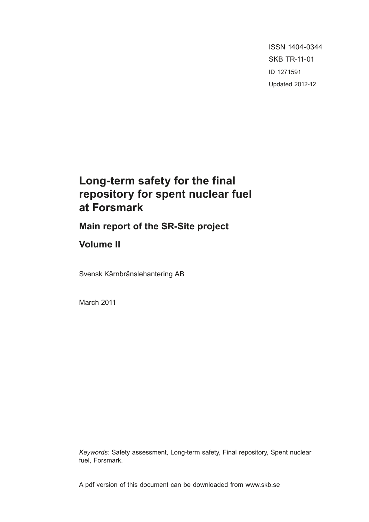ISSN 1404-0344 SKB TR-11-01 ID 1271591 Updated 2012-12

# **Long-term safety for the final repository for spent nuclear fuel at Forsmark**

**Main report of the SR-Site project**

**Volume II**

Svensk Kärnbränslehantering AB

March 2011

*Keywords:* Safety assessment, Long-term safety, Final repository, Spent nuclear fuel, Forsmark.

A pdf version of this document can be downloaded from www.skb.se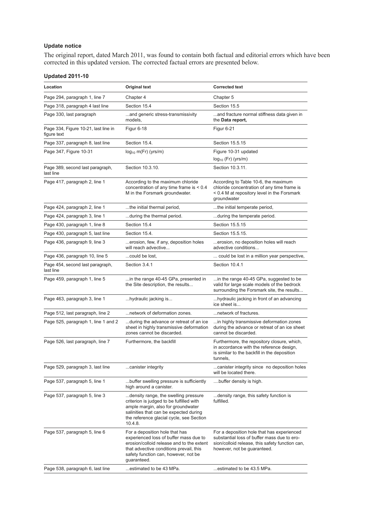#### **Update notice**

The original report, dated March 2011, was found to contain both factual and editorial errors which have been corrected in this updated version. The corrected factual errors are presented below.

# **Updated 2011-10**

| Location                                            | Original text                                                                                                                                                                                                           | <b>Corrected text</b>                                                                                                                                                       |
|-----------------------------------------------------|-------------------------------------------------------------------------------------------------------------------------------------------------------------------------------------------------------------------------|-----------------------------------------------------------------------------------------------------------------------------------------------------------------------------|
| Page 294, paragraph 1, line 7                       | Chapter 4                                                                                                                                                                                                               | Chapter 5                                                                                                                                                                   |
| Page 318, paragraph 4 last line                     | Section 15.4                                                                                                                                                                                                            | Section 15.5                                                                                                                                                                |
| Page 330, last paragraph                            | and generic stress-transmissivity<br>models,                                                                                                                                                                            | and fracture normal stiffness data given in<br>the Data report,                                                                                                             |
| Page 334, Figure 10-21, last line in<br>figure text | Figur 6-18                                                                                                                                                                                                              | Figur 6-21                                                                                                                                                                  |
| Page 337, paragraph 8, last line                    | Section 15.4.                                                                                                                                                                                                           | Section 15.5.15                                                                                                                                                             |
| Page 347, Figure 10-31                              | $log_{10}$ m(Fr) (yrs/m)                                                                                                                                                                                                | Figure 10-31 updated<br>$log_{10}$ (Fr) (yrs/m)                                                                                                                             |
| Page 389, second last paragraph,<br>last line       | Section 10.3.10.                                                                                                                                                                                                        | Section 10.3.11.                                                                                                                                                            |
| Page 417, paragraph 2, line 1                       | According to the maximum chloride<br>concentration of any time frame is $< 0.4$<br>M in the Forsmark groundwater.                                                                                                       | According to Table 10-6, the maximum<br>chloride concentration of any time frame is<br>< 0.4 M at repository level in the Forsmark<br>groundwater                           |
| Page 424, paragraph 2, line 1                       | the initial thermal period,                                                                                                                                                                                             | the initial temperate period,                                                                                                                                               |
| Page 424, paragraph 3, line 1                       | during the thermal period.                                                                                                                                                                                              | during the temperate period.                                                                                                                                                |
| Page 430, paragraph 1, line 8                       | Section 15.4                                                                                                                                                                                                            | Section 15.5.15                                                                                                                                                             |
| Page 430, paragraph 5, last line                    | Section 15.4.                                                                                                                                                                                                           | Section 15.5.15.                                                                                                                                                            |
| Page 436, paragraph 9, line 3                       | erosion, few, if any, deposition holes<br>will reach advective                                                                                                                                                          | erosion, no deposition holes will reach<br>advective conditions                                                                                                             |
| Page 436, paragraph 10, line 5                      | could be lost.                                                                                                                                                                                                          | could be lost in a million year perspective,                                                                                                                                |
| Page 454, second last paragraph,<br>last line       | Section 3.4.1                                                                                                                                                                                                           | Section 10.4.1                                                                                                                                                              |
| Page 459, paragraph 1, line 5                       | in the range 40-45 GPa, presented in<br>the Site description, the results                                                                                                                                               | in the range 40-45 GPa, suggested to be<br>valid for large scale models of the bedrock<br>surrounding the Forsmark site, the results                                        |
| Page 463, paragraph 3, line 1                       | hydraulic jacking is                                                                                                                                                                                                    | hydraulic jacking in front of an advancing<br>ice sheet is                                                                                                                  |
| Page 512, last paragraph, line 2                    | network of deformation zones.                                                                                                                                                                                           | network of fractures.                                                                                                                                                       |
| Page 525, paragraph 1, line 1 and 2                 | during the advance or retreat of an ice<br>sheet in highly transmissive deformation<br>zones cannot be discarded.                                                                                                       | in highly transmissive deformation zones<br>during the advance or retreat of an ice sheet<br>cannot be discarded.                                                           |
| Page 526, last paragraph, line 7                    | Furthermore, the backfill                                                                                                                                                                                               | Furthermore, the repository closure, which,<br>in accordance with the reference design,<br>is similar to the backfill in the deposition<br>tunnels,                         |
| Page 529, paragraph 3, last line                    | canister integrity                                                                                                                                                                                                      | canister integrity since no deposition holes<br>will be located there.                                                                                                      |
| Page 537, paragraph 5, line 1                       | buffer swelling pressure is sufficiently<br>high around a canister.                                                                                                                                                     | buffer density is high.                                                                                                                                                     |
| Page 537, paragraph 5, line 3                       | density range, the swelling pressure<br>criterion is judged to be fulfilled with<br>ample margin, also for groundwater<br>salinities that can be expected during<br>the reference glacial cycle, see Section<br>10.4.8. | density range, this safety function is<br>fulfilled.                                                                                                                        |
| Page 537, paragraph 5, line 6                       | For a deposition hole that has<br>experienced loss of buffer mass due to<br>erosion/colloid release and to the extent<br>that advective conditions prevail, this<br>safety function can, however, not be<br>guaranteed. | For a deposition hole that has experienced<br>substantial loss of buffer mass due to ero-<br>sion/colloid release, this safety function can,<br>however, not be guaranteed. |
| Page 538, paragraph 6, last line                    | estimated to be 43 MPa.                                                                                                                                                                                                 | estimated to be 43.5 MPa.                                                                                                                                                   |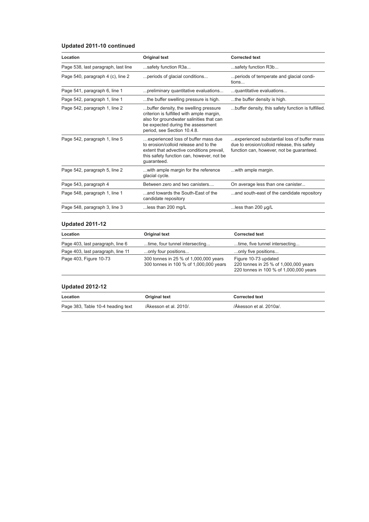# **Updated 2011-10 continued**

| Location                            | <b>Original text</b>                                                                                                                                                                               | <b>Corrected text</b>                                                                                                                   |
|-------------------------------------|----------------------------------------------------------------------------------------------------------------------------------------------------------------------------------------------------|-----------------------------------------------------------------------------------------------------------------------------------------|
| Page 538, last paragraph, last line | safety function R3a                                                                                                                                                                                | safety function R3b                                                                                                                     |
| Page 540, paragraph 4 (c), line 2   | periods of glacial conditions                                                                                                                                                                      | periods of temperate and glacial condi-<br>tions                                                                                        |
| Page 541, paragraph 6, line 1       | preliminary quantitative evaluations                                                                                                                                                               | guantitative evaluations                                                                                                                |
| Page 542, paragraph 1, line 1       | the buffer swelling pressure is high.                                                                                                                                                              | the buffer density is high.                                                                                                             |
| Page 542, paragraph 1, line 2       | buffer density, the swelling pressure<br>criterion is fulfilled with ample margin,<br>also for groundwater salinities that can<br>be expected during the assessment<br>period, see Section 10.4.8. | buffer density, this safety function is fulfilled.                                                                                      |
| Page 542, paragraph 1, line 5       | experienced loss of buffer mass due<br>to erosion/colloid release and to the<br>extent that advective conditions prevail,<br>this safety function can, however, not be<br>guaranteed.              | experienced substantial loss of buffer mass<br>due to erosion/colloid release, this safety<br>function can, however, not be guaranteed. |
| Page 542, paragraph 5, line 2       | with ample margin for the reference<br>glacial cycle.                                                                                                                                              | with ample margin.                                                                                                                      |
| Page 543, paragraph 4               | Between zero and two canisters                                                                                                                                                                     | On average less than one canister                                                                                                       |
| Page 548, paragraph 1, line 1       | and towards the South-East of the<br>candidate repository                                                                                                                                          | and south-east of the candidate repository                                                                                              |
| Page 548, paragraph 3, line 3       | less than 200 mg/L                                                                                                                                                                                 | less than 200 $\mu$ g/L                                                                                                                 |

# **Updated 2011-12**

| Location                          | Original text                                                                   | <b>Corrected text</b>                                                                                   |
|-----------------------------------|---------------------------------------------------------------------------------|---------------------------------------------------------------------------------------------------------|
| Page 403, last paragraph, line 6  | time, four tunnel intersecting                                                  | time, five tunnel intersecting                                                                          |
| Page 403, last paragraph, line 11 | only four positions                                                             | only five positions                                                                                     |
| Page 403, Figure 10-73            | 300 tonnes in 25 % of 1,000,000 years<br>300 tonnes in 100 % of 1,000,000 years | Figure 10-73 updated<br>220 tonnes in 25 % of 1,000,000 years<br>220 tonnes in 100 % of 1,000,000 years |

# **Updated 2012-12**

| Location                          | Original text          | <b>Corrected text</b>   |
|-----------------------------------|------------------------|-------------------------|
| Page 383, Table 10-4 heading text | /Åkesson et al. 2010/. | /Åkesson et al. 2010a/. |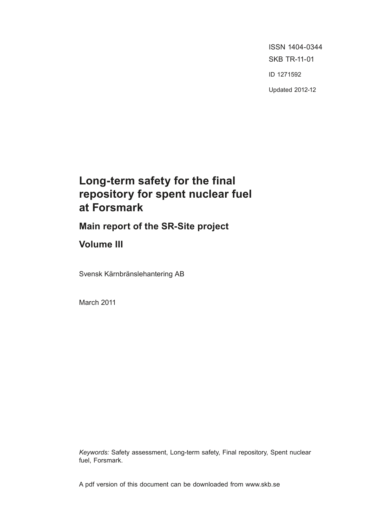ISSN 1404-0344 SKB TR-11-01 ID 1271592 Updated 2012-12

# **Long-term safety for the final repository for spent nuclear fuel at Forsmark**

**Main report of the SR-Site project**

# **Volume III**

Svensk Kärnbränslehantering AB

March 2011

*Keywords:* Safety assessment, Long-term safety, Final repository, Spent nuclear fuel, Forsmark.

A pdf version of this document can be downloaded from www.skb.se